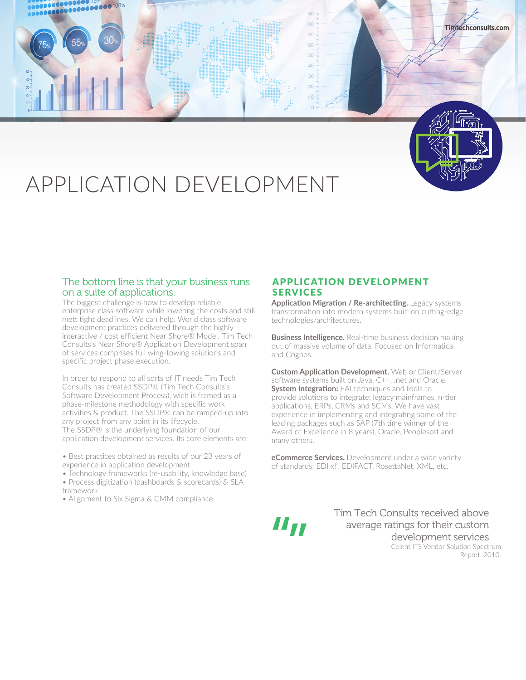



**Timtechconsults.com**

# APPLICATION DEVELOPMENT

### The bottom line is that your business runs on a suite of applications.

The biggest challenge is how to develop reliable enterprise class software while lowering the costs and still mett tight deadlines. We can help. World class software development practices delivered through the highly interactive / cost efficient Near Shore® Model. Tim Tech Consults's Near Shore® Application Development span of services comprises full wing-towing solutions and specific project phase execution.

In order to respond to all sorts of IT needs Tim Tech Consults has created SSDP® (Tim Tech Consults's Software Development Process), wich is framed as a phase-milestone methodology with specific work activities & product. The SSDP® can be ramped-up into any project from any point in its lifecycle. The SSDP® is the underlying foundation of our application development services. Its core elements are:

- Best practices obtained as results of our 23 years of experience in application development.
- Technology frameworks (re-usability, knowledge base)
- Process digitization (dashboards & scorecards) & SLA framework
- Alignment to Six Sigma & CMM compliance.

## APPLICATION DEVELOPMENT **SERVICES**

**Application Migration / Re-architecting.** Legacy systems transformation into modern systems built on cutting-edge technologies/architectures.

**Business Intelligence.** Real-time business decision making out of massive volume of data. Focused on Informatica and Cognos.

**Custom Application Development.** Web or Client/Server software systems built on Java, C++, .net and Oracle. **System Integration:** EAI techniques and tools to provide solutions to integrate: legacy mainframes, n-tier applications, ERPs, CRMs and SCMs. We have vast experience in implementing and integrating some of the leading packages such as SAP (7th time winner of the Award of Excellence in 8 years), Oracle, Peoplesoft and many others.

**eCommerce Services.** Development under a wide variety of standards: EDI x!", EDIFACT, RosettaNet, XML, etc.

11 Tr

Tim Tech Consults received above average ratings for their custom development services Celent ITS Vendor Solution Spectrum Report, 2010.